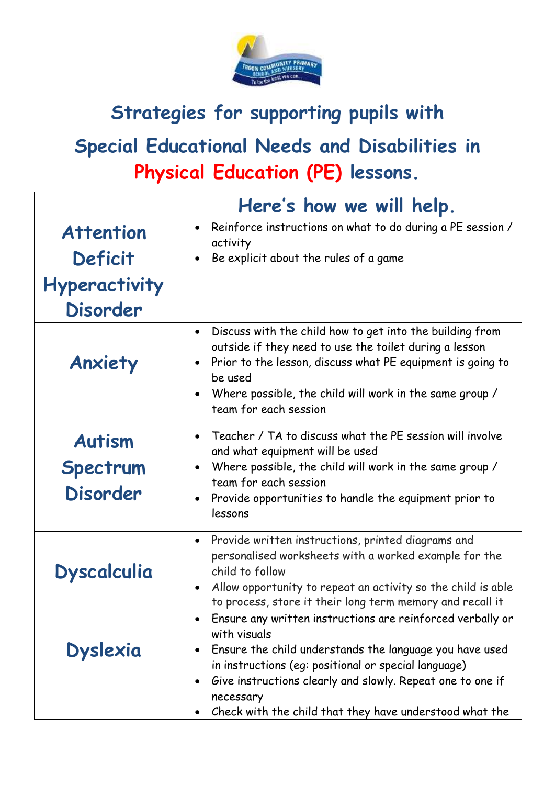

## **Strategies for supporting pupils with**

## **Special Educational Needs and Disabilities in Physical Education (PE) lessons.**

|                                              | Here's how we will help.                                                                                                                                                                                                                                                                                                            |
|----------------------------------------------|-------------------------------------------------------------------------------------------------------------------------------------------------------------------------------------------------------------------------------------------------------------------------------------------------------------------------------------|
| <b>Attention</b><br><b>Deficit</b>           | • Reinforce instructions on what to do during a PE session /<br>activity<br>Be explicit about the rules of a game                                                                                                                                                                                                                   |
| <b>Hyperactivity</b><br><b>Disorder</b>      |                                                                                                                                                                                                                                                                                                                                     |
| Anxiety                                      | Discuss with the child how to get into the building from<br>outside if they need to use the toilet during a lesson<br>Prior to the lesson, discuss what PE equipment is going to<br>be used<br>Where possible, the child will work in the same group /<br>team for each session                                                     |
| <b>Autism</b><br>Spectrum<br><b>Disorder</b> | Teacher / TA to discuss what the PE session will involve<br>and what equipment will be used<br>Where possible, the child will work in the same group /<br>team for each session<br>Provide opportunities to handle the equipment prior to<br>lessons                                                                                |
| <b>Dyscalculia</b>                           | Provide written instructions, printed diagrams and<br>$\bullet$<br>personalised worksheets with a worked example for the<br>child to follow<br>Allow opportunity to repeat an activity so the child is able<br>to process, store it their long term memory and recall it                                                            |
| <b>Dyslexia</b>                              | Ensure any written instructions are reinforced verbally or<br>with visuals<br>Ensure the child understands the language you have used<br>in instructions (eq: positional or special language)<br>Give instructions clearly and slowly. Repeat one to one if<br>necessary<br>Check with the child that they have understood what the |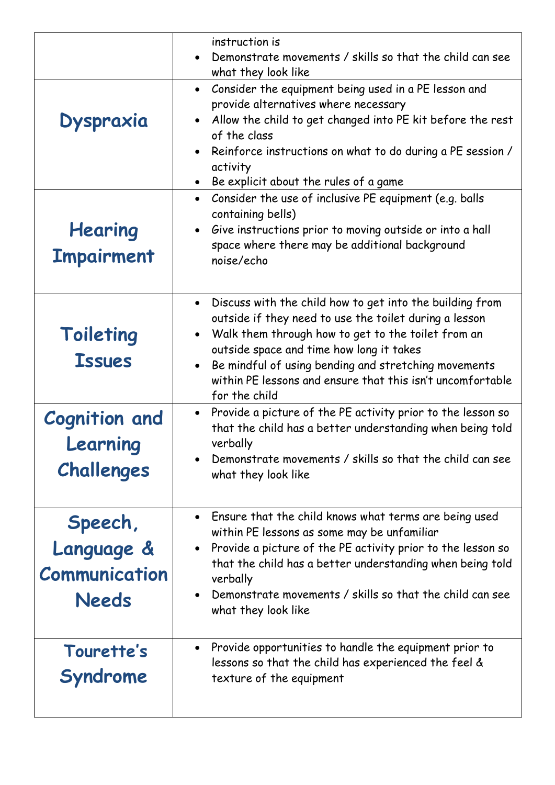|                                                               | instruction is<br>Demonstrate movements / skills so that the child can see<br>what they look like                                                                                                                                                                                                                                                                        |
|---------------------------------------------------------------|--------------------------------------------------------------------------------------------------------------------------------------------------------------------------------------------------------------------------------------------------------------------------------------------------------------------------------------------------------------------------|
| <b>Dyspraxia</b>                                              | Consider the equipment being used in a PE lesson and<br>$\bullet$<br>provide alternatives where necessary<br>Allow the child to get changed into PE kit before the rest<br>of the class<br>Reinforce instructions on what to do during a PE session /<br>activity<br>Be explicit about the rules of a game<br>$\bullet$                                                  |
| Hearing<br><b>Impairment</b>                                  | Consider the use of inclusive PE equipment (e.g. balls<br>$\bullet$<br>containing bells)<br>Give instructions prior to moving outside or into a hall<br>space where there may be additional background<br>noise/echo                                                                                                                                                     |
| Toileting<br><b>Issues</b>                                    | Discuss with the child how to get into the building from<br>$\bullet$<br>outside if they need to use the toilet during a lesson<br>Walk them through how to get to the toilet from an<br>outside space and time how long it takes<br>Be mindful of using bending and stretching movements<br>within PE lessons and ensure that this isn't uncomfortable<br>for the child |
| <b>Cognition and</b><br>Learning<br>Challenges                | • Provide a picture of the PE activity prior to the lesson so<br>that the child has a better understanding when being told<br>verbally<br>Demonstrate movements / skills so that the child can see<br>what they look like                                                                                                                                                |
| Speech,<br>Language &<br><b>Communication</b><br><b>Needs</b> | Ensure that the child knows what terms are being used<br>within PE lessons as some may be unfamiliar<br>Provide a picture of the PE activity prior to the lesson so<br>that the child has a better understanding when being told<br>verbally<br>Demonstrate movements / skills so that the child can see<br>what they look like                                          |
| Tourette's<br>Syndrome                                        | Provide opportunities to handle the equipment prior to<br>lessons so that the child has experienced the feel &<br>texture of the equipment                                                                                                                                                                                                                               |